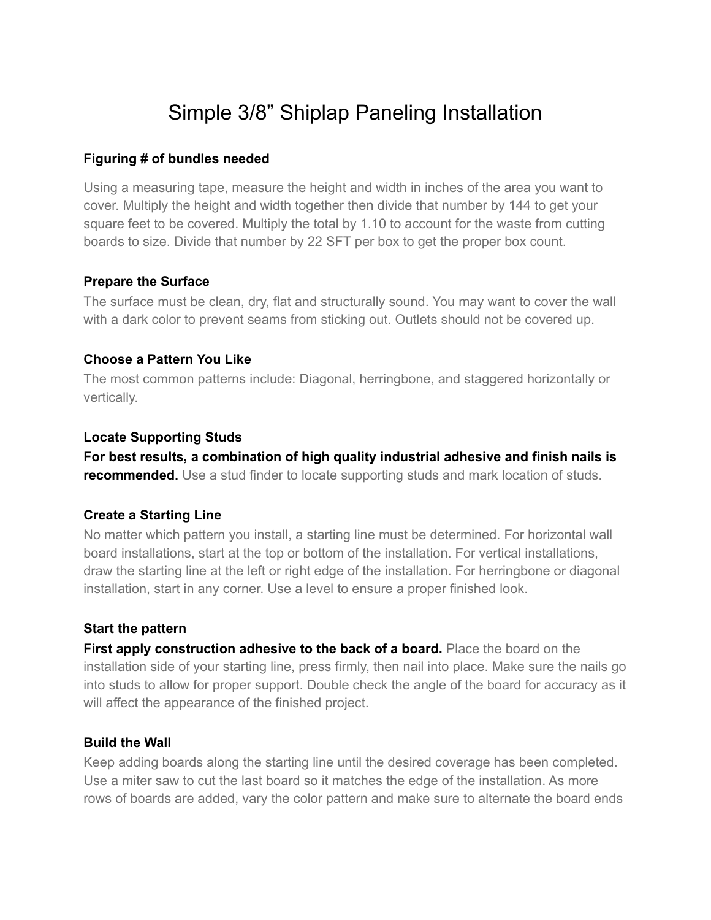# Simple 3/8" Shiplap Paneling Installation

## **Figuring # of bundles needed**

Using a measuring tape, measure the height and width in inches of the area you want to cover. Multiply the height and width together then divide that number by 144 to get your square feet to be covered. Multiply the total by 1.10 to account for the waste from cutting boards to size. Divide that number by 22 SFT per box to get the proper box count.

## **Prepare the Surface**

The surface must be clean, dry, flat and structurally sound. You may want to cover the wall with a dark color to prevent seams from sticking out. Outlets should not be covered up.

## **Choose a Pattern You Like**

The most common patterns include: Diagonal, herringbone, and staggered horizontally or vertically.

## **Locate Supporting Studs**

**For best results, a combination of high quality industrial adhesive and finish nails is recommended.** Use a stud finder to locate supporting studs and mark location of studs.

## **Create a Starting Line**

No matter which pattern you install, a starting line must be determined. For horizontal wall board installations, start at the top or bottom of the installation. For vertical installations, draw the starting line at the left or right edge of the installation. For herringbone or diagonal installation, start in any corner. Use a level to ensure a proper finished look.

### **Start the pattern**

**First apply construction adhesive to the back of a board.** Place the board on the installation side of your starting line, press firmly, then nail into place. Make sure the nails go into studs to allow for proper support. Double check the angle of the board for accuracy as it will affect the appearance of the finished project.

### **Build the Wall**

Keep adding boards along the starting line until the desired coverage has been completed. Use a miter saw to cut the last board so it matches the edge of the installation. As more rows of boards are added, vary the color pattern and make sure to alternate the board ends